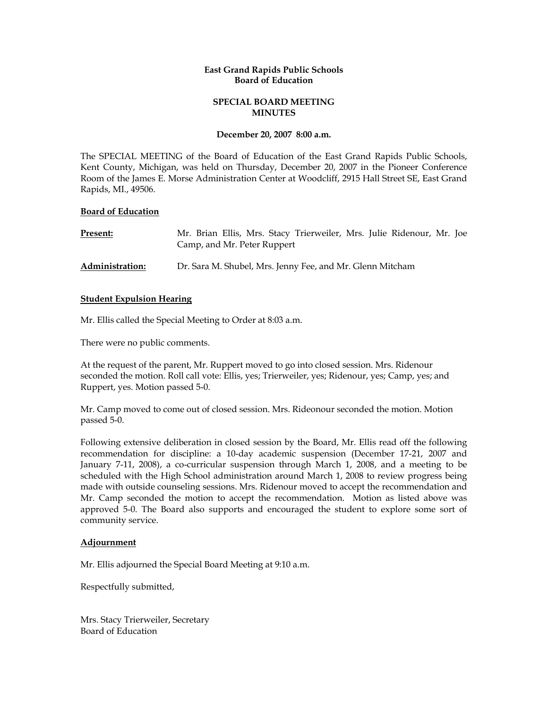# **East Grand Rapids Public Schools Board of Education**

# **SPECIAL BOARD MEETING MINUTES**

#### **December 20, 2007 8:00 a.m.**

The SPECIAL MEETING of the Board of Education of the East Grand Rapids Public Schools, Kent County, Michigan, was held on Thursday, December 20, 2007 in the Pioneer Conference Room of the James E. Morse Administration Center at Woodcliff, 2915 Hall Street SE, East Grand Rapids, MI., 49506.

## **Board of Education**

| Present:        | Mr. Brian Ellis, Mrs. Stacy Trierweiler, Mrs. Julie Ridenour, Mr. Joe<br>Camp, and Mr. Peter Ruppert |
|-----------------|------------------------------------------------------------------------------------------------------|
| Administration: | Dr. Sara M. Shubel, Mrs. Jenny Fee, and Mr. Glenn Mitcham                                            |

## **Student Expulsion Hearing**

Mr. Ellis called the Special Meeting to Order at 8:03 a.m.

There were no public comments.

At the request of the parent, Mr. Ruppert moved to go into closed session. Mrs. Ridenour seconded the motion. Roll call vote: Ellis, yes; Trierweiler, yes; Ridenour, yes; Camp, yes; and Ruppert, yes. Motion passed 5-0.

Mr. Camp moved to come out of closed session. Mrs. Rideonour seconded the motion. Motion passed 5-0.

Following extensive deliberation in closed session by the Board, Mr. Ellis read off the following recommendation for discipline: a 10-day academic suspension (December 17-21, 2007 and January 7-11, 2008), a co-curricular suspension through March 1, 2008, and a meeting to be scheduled with the High School administration around March 1, 2008 to review progress being made with outside counseling sessions. Mrs. Ridenour moved to accept the recommendation and Mr. Camp seconded the motion to accept the recommendation. Motion as listed above was approved 5-0. The Board also supports and encouraged the student to explore some sort of community service.

#### **Adjournment**

Mr. Ellis adjourned the Special Board Meeting at 9:10 a.m.

Respectfully submitted,

Mrs. Stacy Trierweiler, Secretary Board of Education